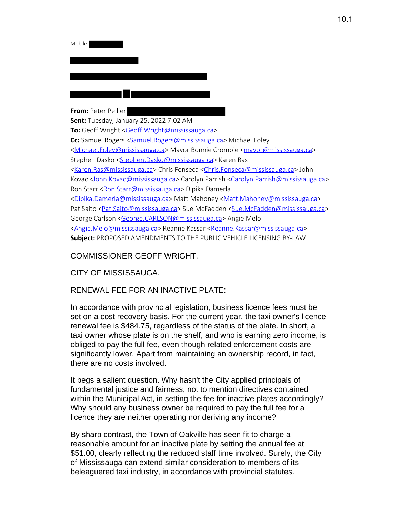Mobile:

**From:** Peter Pellier

**Sent:** Tuesday, January 25, 2022 7:02 AM

<u> Tanzania de la provincia de la provincia de la provincia de la provincia de la provincia de la provincia de la</u>

**To:** Geoff Wright [<Geoff.Wright@mississauga.ca](mailto:Geoff.Wright@mississauga.ca)>

Cc: Samuel Rogers [<Samuel.Rogers@mississauga.ca](mailto:Samuel.Rogers@mississauga.ca)> Michael Foley

[<Michael.Foley@mississauga.ca](mailto:Michael.Foley@mississauga.ca)> Mayor Bonnie Crombie [<mayor@mississauga.ca>](mailto:mayor@mississauga.ca)

Stephen Dasko < Stephen. Dasko@mississauga.ca> Karen Ras

[<Karen.Ras@mississauga.ca](mailto:Karen.Ras@mississauga.ca)> Chris Fonseca [<Chris.Fonseca@mississauga.ca](mailto:Chris.Fonseca@mississauga.ca)> John Kovac <[John.Kovac@mississauga.ca>](mailto:John.Kovac@mississauga.ca) Carolyn Parrish [<Carolyn.Parrish@mississauga.ca](mailto:Carolyn.Parrish@mississauga.ca)>

Ron Starr [<Ron.Starr@mississauga.ca](mailto:Ron.Starr@mississauga.ca)> Dipika Damerla

[<Dipika.Damerla@mississauga.ca](mailto:Dipika.Damerla@mississauga.ca)> Matt Mahoney [<Matt.Mahoney@mississauga.ca](mailto:Matt.Mahoney@mississauga.ca)> Pat Saito [<Pat.Saito@mississauga.ca>](mailto:Pat.Saito@mississauga.ca) Sue McFadden [<Sue.McFadden@mississauga.ca](mailto:Sue.McFadden@mississauga.ca)> George Carlson [<George.CARLSON@mississauga.ca](mailto:George.CARLSON@mississauga.ca)> Angie Melo [<Angie.Melo@mississauga.ca](mailto:Angie.Melo@mississauga.ca)> Reanne Kassar <[Reanne.Kassar@mississauga.ca](mailto:Reanne.Kassar@mississauga.ca)> **Subject:** PROPOSED AMENDMENTS TO THE PUBLIC VEHICLE LICENSING BY-LAW

COMMISSIONER GEOFF WRIGHT,

CITY OF MISSISSAUGA.

RENEWAL FEE FOR AN INACTIVE PLATE:

In accordance with provincial legislation, business licence fees must be set on a cost recovery basis. For the current year, the taxi owner's licence renewal fee is \$484.75, regardless of the status of the plate. In short, a taxi owner whose plate is on the shelf, and who is earning zero income, is obliged to pay the full fee, even though related enforcement costs are significantly lower. Apart from maintaining an ownership record, in fact, there are no costs involved.

It begs a salient question. Why hasn't the City applied principals of fundamental justice and fairness, not to mention directives contained within the Municipal Act, in setting the fee for inactive plates accordingly? Why should any business owner be required to pay the full fee for a licence they are neither operating nor deriving any income?

By sharp contrast, the Town of Oakville has seen fit to charge a reasonable amount for an inactive plate by setting the annual fee at \$51.00, clearly reflecting the reduced staff time involved. Surely, the City of Mississauga can extend similar consideration to members of its beleaguered taxi industry, in accordance with provincial statutes.